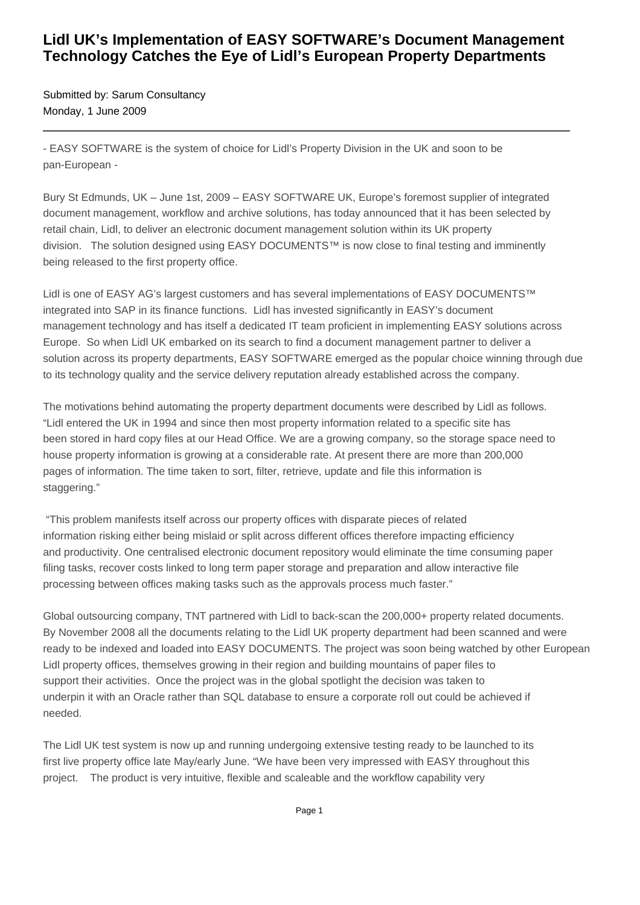# **Lidl UK's Implementation of EASY SOFTWARE's Document Management Technology Catches the Eye of Lidl's European Property Departments**

Submitted by: Sarum Consultancy Monday, 1 June 2009

- EASY SOFTWARE is the system of choice for Lidl's Property Division in the UK and soon to be pan-European -

Bury St Edmunds, UK – June 1st, 2009 – EASY SOFTWARE UK, Europe's foremost supplier of integrated document management, workflow and archive solutions, has today announced that it has been selected by retail chain, Lidl, to deliver an electronic document management solution within its UK property division. The solution designed using EASY DOCUMENTS™ is now close to final testing and imminently being released to the first property office.

Lidl is one of EASY AG's largest customers and has several implementations of EASY DOCUMENTS™ integrated into SAP in its finance functions. Lidl has invested significantly in EASY's document management technology and has itself a dedicated IT team proficient in implementing EASY solutions across Europe. So when Lidl UK embarked on its search to find a document management partner to deliver a solution across its property departments, EASY SOFTWARE emerged as the popular choice winning through due to its technology quality and the service delivery reputation already established across the company.

The motivations behind automating the property department documents were described by Lidl as follows. "Lidl entered the UK in 1994 and since then most property information related to a specific site has been stored in hard copy files at our Head Office. We are a growing company, so the storage space need to house property information is growing at a considerable rate. At present there are more than 200,000 pages of information. The time taken to sort, filter, retrieve, update and file this information is staggering."

 "This problem manifests itself across our property offices with disparate pieces of related information risking either being mislaid or split across different offices therefore impacting efficiency and productivity. One centralised electronic document repository would eliminate the time consuming paper filing tasks, recover costs linked to long term paper storage and preparation and allow interactive file processing between offices making tasks such as the approvals process much faster."

Global outsourcing company, TNT partnered with Lidl to back-scan the 200,000+ property related documents. By November 2008 all the documents relating to the Lidl UK property department had been scanned and were ready to be indexed and loaded into EASY DOCUMENTS. The project was soon being watched by other European Lidl property offices, themselves growing in their region and building mountains of paper files to support their activities. Once the project was in the global spotlight the decision was taken to underpin it with an Oracle rather than SQL database to ensure a corporate roll out could be achieved if needed.

The Lidl UK test system is now up and running undergoing extensive testing ready to be launched to its first live property office late May/early June. "We have been very impressed with EASY throughout this project. The product is very intuitive, flexible and scaleable and the workflow capability very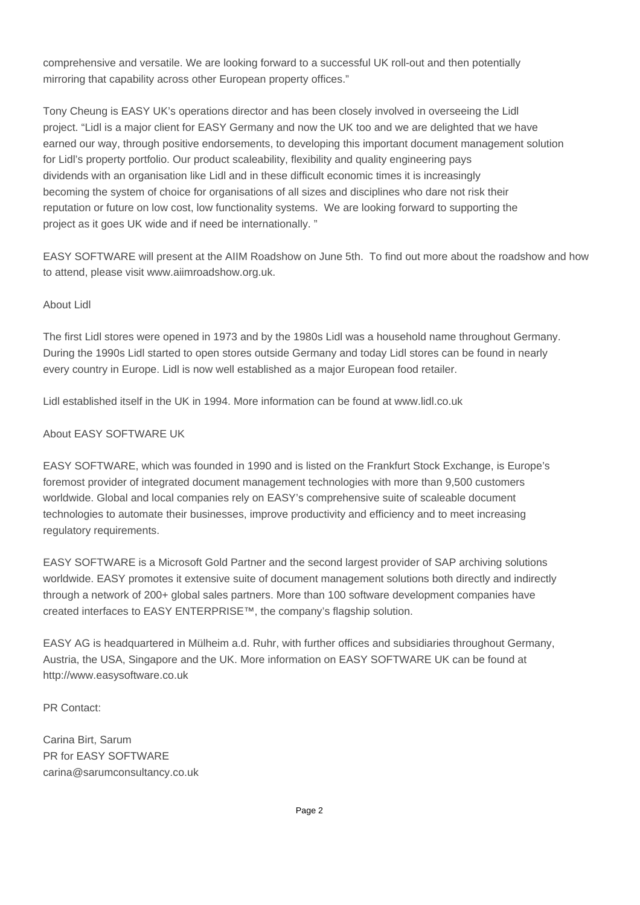comprehensive and versatile. We are looking forward to a successful UK roll-out and then potentially mirroring that capability across other European property offices."

Tony Cheung is EASY UK's operations director and has been closely involved in overseeing the Lidl project. "Lidl is a major client for EASY Germany and now the UK too and we are delighted that we have earned our way, through positive endorsements, to developing this important document management solution for Lidl's property portfolio. Our product scaleability, flexibility and quality engineering pays dividends with an organisation like Lidl and in these difficult economic times it is increasingly becoming the system of choice for organisations of all sizes and disciplines who dare not risk their reputation or future on low cost, low functionality systems. We are looking forward to supporting the project as it goes UK wide and if need be internationally. "

EASY SOFTWARE will present at the AIIM Roadshow on June 5th. To find out more about the roadshow and how to attend, please visit www.aiimroadshow.org.uk.

### About Lidl

The first Lidl stores were opened in 1973 and by the 1980s Lidl was a household name throughout Germany. During the 1990s Lidl started to open stores outside Germany and today Lidl stores can be found in nearly every country in Europe. Lidl is now well established as a major European food retailer.

Lidl established itself in the UK in 1994. More information can be found at www.lidl.co.uk

## About EASY SOFTWARE UK

EASY SOFTWARE, which was founded in 1990 and is listed on the Frankfurt Stock Exchange, is Europe's foremost provider of integrated document management technologies with more than 9,500 customers worldwide. Global and local companies rely on EASY's comprehensive suite of scaleable document technologies to automate their businesses, improve productivity and efficiency and to meet increasing regulatory requirements.

EASY SOFTWARE is a Microsoft Gold Partner and the second largest provider of SAP archiving solutions worldwide. EASY promotes it extensive suite of document management solutions both directly and indirectly through a network of 200+ global sales partners. More than 100 software development companies have created interfaces to EASY ENTERPRISE™, the company's flagship solution.

EASY AG is headquartered in Mülheim a.d. Ruhr, with further offices and subsidiaries throughout Germany, Austria, the USA, Singapore and the UK. More information on EASY SOFTWARE UK can be found at http://www.easysoftware.co.uk

### PR Contact:

Carina Birt, Sarum PR for EASY SOFTWARE carina@sarumconsultancy.co.uk